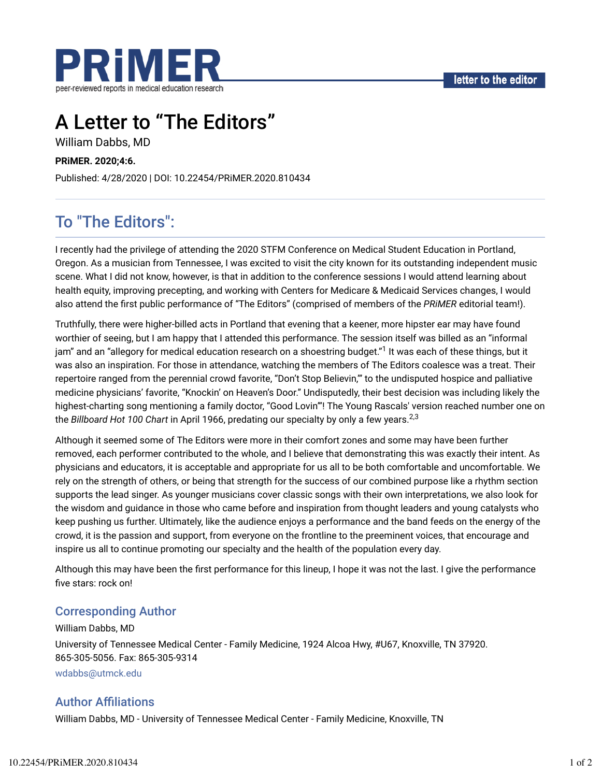

# A Letter to "The Editors"

William Dabbs, MD

#### **PRiMER. 2020;4:6.**

Published: 4/28/2020 | DOI: 10.22454/PRiMER.2020.810434

## To "The Editors":

I recently had the privilege of attending the 2020 STFM Conference on Medical Student Education in Portland, Oregon. As a musician from Tennessee, I was excited to visit the city known for its outstanding independent music scene. What I did not know, however, is that in addition to the conference sessions I would attend learning about health equity, improving precepting, and working with Centers for Medicare & Medicaid Services changes, I would also attend the Trst public performance of "The Editors" (comprised of members of the *PRiMER* editorial team!).

Truthfully, there were higher-billed acts in Portland that evening that a keener, more hipster ear may have found worthier of seeing, but I am happy that I attended this performance. The session itself was billed as an "informal jam" and an "allegory for medical education research on a shoestring budget."<sup>1</sup> It was each of these things, but it was also an inspiration. For those in attendance, watching the members of The Editors coalesce was a treat. Their repertoire ranged from the perennial crowd favorite, "Don't Stop Believin,'" to the undisputed hospice and palliative medicine physicians' favorite, "Knockin' on Heaven's Door." Undisputedly, their best decision was including likely the highest-charting song mentioning a family doctor, "Good Lovin'"! The Young Rascals' version reached number one on the *Billboard Hot 100 Chart* in April 1966, predating our specialty by only a few years. 2,3

Although it seemed some of The Editors were more in their comfort zones and some may have been further removed, each performer contributed to the whole, and I believe that demonstrating this was exactly their intent. As physicians and educators, it is acceptable and appropriate for us all to be both comfortable and uncomfortable. We rely on the strength of others, or being that strength for the success of our combined purpose like a rhythm section supports the lead singer. As younger musicians cover classic songs with their own interpretations, we also look for the wisdom and guidance in those who came before and inspiration from thought leaders and young catalysts who keep pushing us further. Ultimately, like the audience enjoys a performance and the band feeds on the energy of the crowd, it is the passion and support, from everyone on the frontline to the preeminent voices, that encourage and inspire us all to continue promoting our specialty and the health of the population every day.

Although this may have been the first performance for this lineup, I hope it was not the last. I give the performance five stars: rock on!

#### Corresponding Author

William Dabbs, MD University of Tennessee Medical Center - Family Medicine, 1924 Alcoa Hwy, #U67, Knoxville, TN 37920. 865-305-5056. Fax: 865-305-9314 wdabbs@utmck.edu

#### **Author Affiliations**

William Dabbs, MD - University of Tennessee Medical Center - Family Medicine, Knoxville, TN